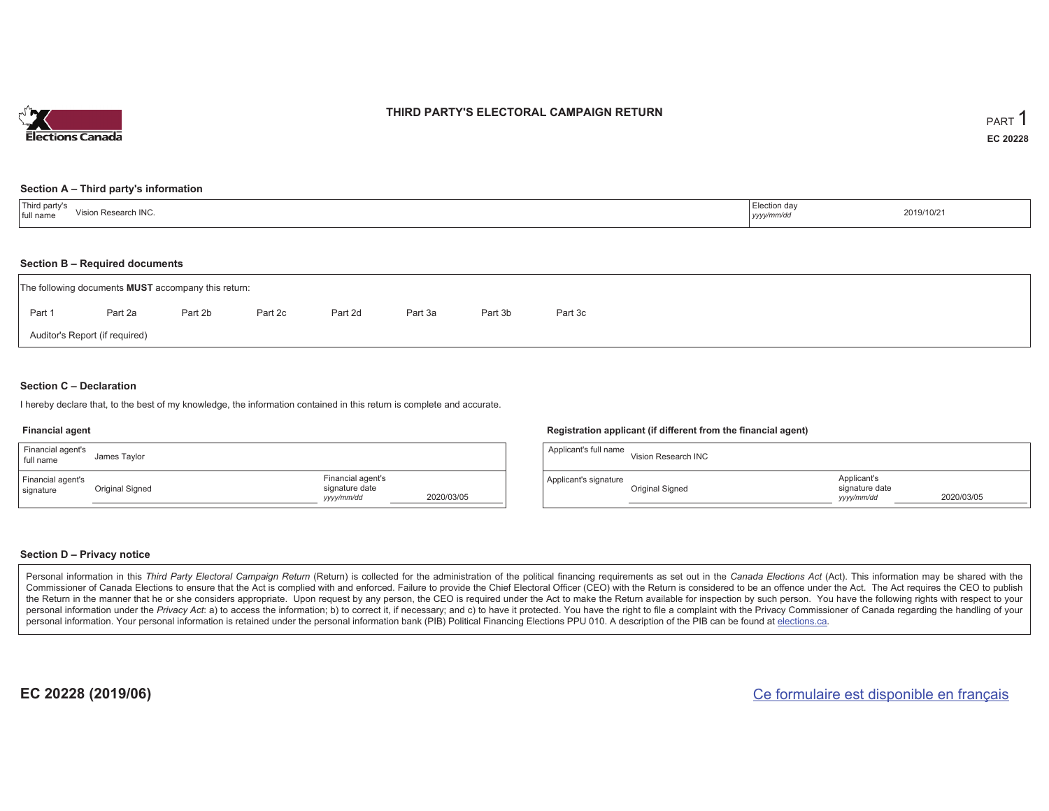

## **THIRD PARTY'S ELECTORAL CAMPAIGN RETURN**

#### **Section A – Third party's information**

#### **Section B – Required documents**

|        | The following documents <b>MUST</b> accompany this return: |         |         |         |         |         |         |  |  |  |  |  |  |
|--------|------------------------------------------------------------|---------|---------|---------|---------|---------|---------|--|--|--|--|--|--|
| Part 1 | Part 2a                                                    | Part 2b | Part 2c | Part 2d | Part 3a | Part 3b | Part 3c |  |  |  |  |  |  |
|        | Auditor's Report (if required)                             |         |         |         |         |         |         |  |  |  |  |  |  |

### **Section C – Declaration**

I hereby declare that, to the best of my knowledge, the information contained in this return is complete and accurate.

#### **Financial agent**

| Financial agent's<br>full name | James Taylor    |                                                   |            |
|--------------------------------|-----------------|---------------------------------------------------|------------|
| Financial agent's<br>signature | Original Signed | Financial agent's<br>signature date<br>yyyy/mm/dd | 2020/03/05 |

### **Registration applicant (if different from the financial agent)**

| Applicant's full name | Vision Research INC |                                             |            |
|-----------------------|---------------------|---------------------------------------------|------------|
| Applicant's signature | Original Signed     | Applicant's<br>signature date<br>yyyy/mm/dd | 2020/03/05 |

### **Section D – Privacy notice**

Personal information in this Third Party Electoral Campaign Return (Return) is collected for the administration of the political financing requirements as set out in the Canada Elections Act (Act). This information may be Commissioner of Canada Elections to ensure that the Act is complied with and enforced. Failure to provide the Chief Electoral Officer (CEO) with the Return is considered to be an offence under the Act. The Act requires the the Return in the manner that he or she considers appropriate. Upon request by any person, the CEO is required under the Act to make the Return available for inspection by such person. You have the following rights with re personal information under the Privacy Act: a) to access the information; b) to correct it, if necessary; and c) to have it protected. You have the right to file a complaint with the Privacy Commissioner of Canada regardin personal information. Your personal information is retained under the personal information bank (PIB) Political Financing Elections PPU 010. A description of the PIB can be found at elections.ca.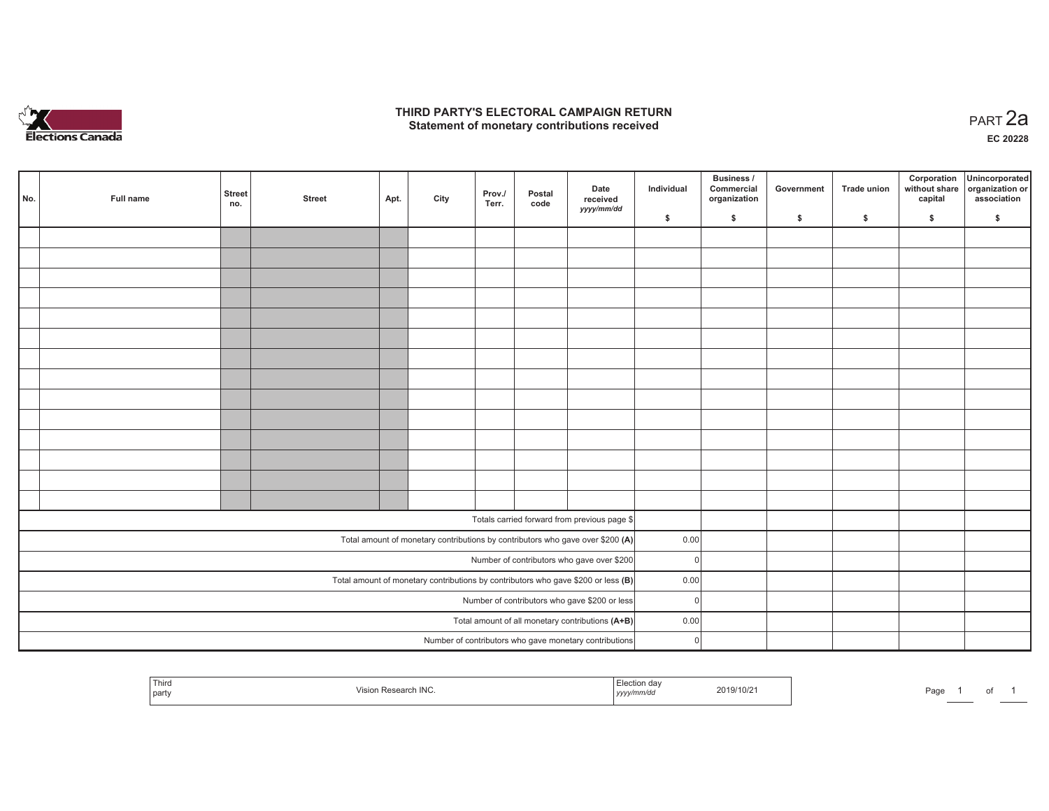

## **THIRD PARTY'S ELECTORAL CAMPAIGN RETURN HIRD PARTY'S ELECTORAL CAMPAIGN RETURN<br>Statement of monetary contributions received PART 2a**

**EC 20228**

| No.                                                                                 | Full name | <b>Street</b><br>no.                                   | <b>Street</b> | Apt. | City | Prov./<br>Terr. | Postal<br>code | Date<br>received<br>yyyy/mm/dd                                                 | Individual | <b>Business /</b><br>Commercial<br>organization | Government   | Trade union  | Corporation<br>without share<br>capital | Unincorporated<br>organization or<br>association |
|-------------------------------------------------------------------------------------|-----------|--------------------------------------------------------|---------------|------|------|-----------------|----------------|--------------------------------------------------------------------------------|------------|-------------------------------------------------|--------------|--------------|-----------------------------------------|--------------------------------------------------|
|                                                                                     |           |                                                        |               |      |      |                 |                |                                                                                | \$         | \$                                              | $\mathsf{s}$ | $\mathbf{s}$ | \$                                      | \$                                               |
|                                                                                     |           |                                                        |               |      |      |                 |                |                                                                                |            |                                                 |              |              |                                         |                                                  |
|                                                                                     |           |                                                        |               |      |      |                 |                |                                                                                |            |                                                 |              |              |                                         |                                                  |
|                                                                                     |           |                                                        |               |      |      |                 |                |                                                                                |            |                                                 |              |              |                                         |                                                  |
|                                                                                     |           |                                                        |               |      |      |                 |                |                                                                                |            |                                                 |              |              |                                         |                                                  |
|                                                                                     |           |                                                        |               |      |      |                 |                |                                                                                |            |                                                 |              |              |                                         |                                                  |
|                                                                                     |           |                                                        |               |      |      |                 |                |                                                                                |            |                                                 |              |              |                                         |                                                  |
|                                                                                     |           |                                                        |               |      |      |                 |                |                                                                                |            |                                                 |              |              |                                         |                                                  |
|                                                                                     |           |                                                        |               |      |      |                 |                |                                                                                |            |                                                 |              |              |                                         |                                                  |
|                                                                                     |           |                                                        |               |      |      |                 |                |                                                                                |            |                                                 |              |              |                                         |                                                  |
|                                                                                     |           |                                                        |               |      |      |                 |                |                                                                                |            |                                                 |              |              |                                         |                                                  |
|                                                                                     |           |                                                        |               |      |      |                 |                |                                                                                |            |                                                 |              |              |                                         |                                                  |
|                                                                                     |           |                                                        |               |      |      |                 |                |                                                                                |            |                                                 |              |              |                                         |                                                  |
|                                                                                     |           |                                                        |               |      |      |                 |                |                                                                                |            |                                                 |              |              |                                         |                                                  |
|                                                                                     |           |                                                        |               |      |      |                 |                |                                                                                |            |                                                 |              |              |                                         |                                                  |
|                                                                                     |           |                                                        |               |      |      |                 |                |                                                                                |            |                                                 |              |              |                                         |                                                  |
|                                                                                     |           |                                                        |               |      |      |                 |                | Totals carried forward from previous page \$                                   |            |                                                 |              |              |                                         |                                                  |
|                                                                                     |           |                                                        |               |      |      |                 |                | Total amount of monetary contributions by contributors who gave over \$200 (A) | 0.00       |                                                 |              |              |                                         |                                                  |
|                                                                                     |           | Number of contributors who gave over \$200<br>$\Omega$ |               |      |      |                 |                |                                                                                |            |                                                 |              |              |                                         |                                                  |
| Total amount of monetary contributions by contributors who gave \$200 or less $(B)$ |           |                                                        |               |      |      |                 |                |                                                                                |            | 0.00                                            |              |              |                                         |                                                  |
|                                                                                     |           | Number of contributors who gave \$200 or less          | $\Omega$      |      |      |                 |                |                                                                                |            |                                                 |              |              |                                         |                                                  |
|                                                                                     |           | Total amount of all monetary contributions (A+B)       | 0.00          |      |      |                 |                |                                                                                |            |                                                 |              |              |                                         |                                                  |
|                                                                                     |           |                                                        |               |      |      |                 |                | Number of contributors who gave monetary contributions                         | $\Omega$   |                                                 |              |              |                                         |                                                  |
|                                                                                     |           |                                                        |               |      |      |                 |                |                                                                                |            |                                                 |              |              |                                         |                                                  |

| Third<br>  part |  | 110/2<br>ZU P<br>the contract of the contract of the contract of the contract of the contract of<br>,,,,, | aut |
|-----------------|--|-----------------------------------------------------------------------------------------------------------|-----|
|-----------------|--|-----------------------------------------------------------------------------------------------------------|-----|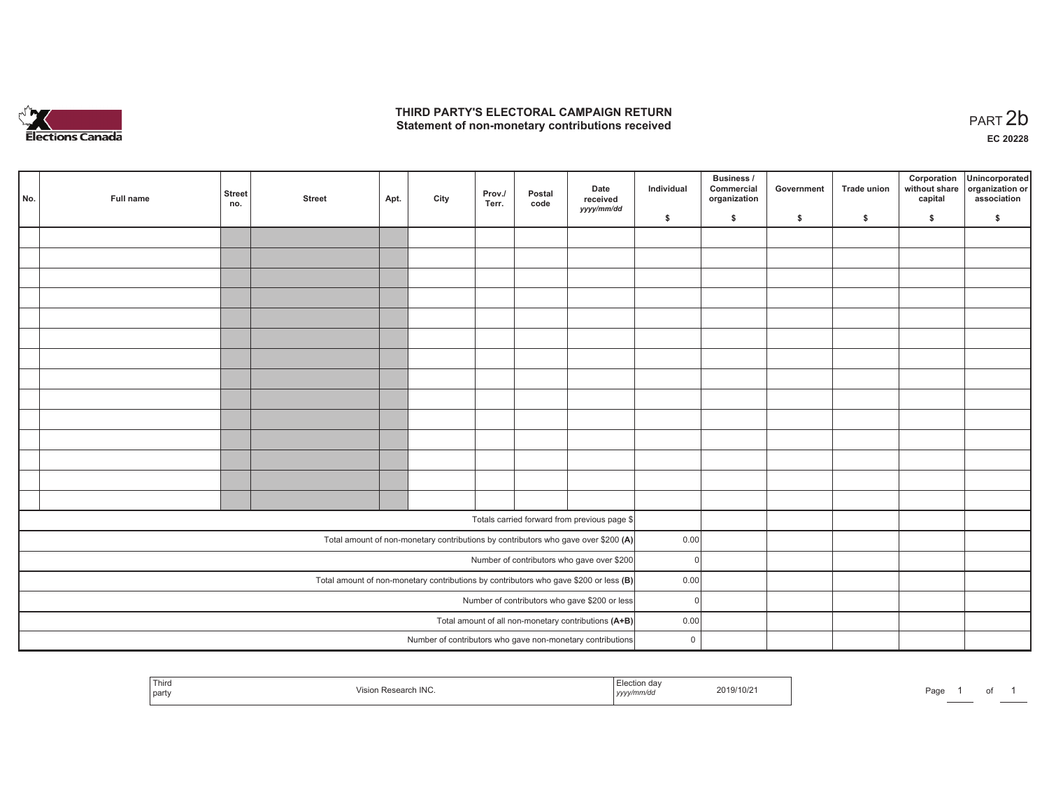

## **THIRD PARTY'S ELECTORAL CAMPAIGN RETURN**  THIRD PARTY'S ELECTORAL CAMPAIGN RETURN<br>Statement of non-monetary contributions received

|                                                      | No.                                                                                     | Full name | <b>Street</b><br>no.                          | <b>Street</b> | Apt. | City | Prov./<br>Terr. | Postal<br>code | Date<br>received<br>yyyy/mm/dd                             | Individual   | <b>Business /</b><br>Commercial<br>organization | Government   | Trade union | Corporation<br>capital | Unincorporated<br>without share organization or<br>association |
|------------------------------------------------------|-----------------------------------------------------------------------------------------|-----------|-----------------------------------------------|---------------|------|------|-----------------|----------------|------------------------------------------------------------|--------------|-------------------------------------------------|--------------|-------------|------------------------|----------------------------------------------------------------|
|                                                      |                                                                                         |           |                                               |               |      |      |                 |                |                                                            | \$           | \$                                              | $\mathsf{s}$ | \$          | \$                     | \$                                                             |
|                                                      |                                                                                         |           |                                               |               |      |      |                 |                |                                                            |              |                                                 |              |             |                        |                                                                |
|                                                      |                                                                                         |           |                                               |               |      |      |                 |                |                                                            |              |                                                 |              |             |                        |                                                                |
|                                                      |                                                                                         |           |                                               |               |      |      |                 |                |                                                            |              |                                                 |              |             |                        |                                                                |
|                                                      |                                                                                         |           |                                               |               |      |      |                 |                |                                                            |              |                                                 |              |             |                        |                                                                |
|                                                      |                                                                                         |           |                                               |               |      |      |                 |                |                                                            |              |                                                 |              |             |                        |                                                                |
|                                                      |                                                                                         |           |                                               |               |      |      |                 |                |                                                            |              |                                                 |              |             |                        |                                                                |
|                                                      |                                                                                         |           |                                               |               |      |      |                 |                |                                                            |              |                                                 |              |             |                        |                                                                |
|                                                      |                                                                                         |           |                                               |               |      |      |                 |                |                                                            |              |                                                 |              |             |                        |                                                                |
|                                                      |                                                                                         |           |                                               |               |      |      |                 |                |                                                            |              |                                                 |              |             |                        |                                                                |
|                                                      |                                                                                         |           |                                               |               |      |      |                 |                |                                                            |              |                                                 |              |             |                        |                                                                |
|                                                      |                                                                                         |           |                                               |               |      |      |                 |                |                                                            |              |                                                 |              |             |                        |                                                                |
|                                                      |                                                                                         |           |                                               |               |      |      |                 |                |                                                            |              |                                                 |              |             |                        |                                                                |
|                                                      |                                                                                         |           |                                               |               |      |      |                 |                |                                                            |              |                                                 |              |             |                        |                                                                |
|                                                      |                                                                                         |           |                                               |               |      |      |                 |                |                                                            |              |                                                 |              |             |                        |                                                                |
|                                                      |                                                                                         |           |                                               |               |      |      |                 |                |                                                            |              |                                                 |              |             |                        |                                                                |
|                                                      |                                                                                         |           |                                               |               |      |      |                 |                | Totals carried forward from previous page \$               | 0.00         |                                                 |              |             |                        |                                                                |
|                                                      | Total amount of non-monetary contributions by contributors who gave over \$200 (A)      |           |                                               |               |      |      |                 |                |                                                            |              |                                                 |              |             |                        |                                                                |
|                                                      | Number of contributors who gave over \$200                                              |           |                                               |               |      |      |                 |                |                                                            |              |                                                 |              |             |                        |                                                                |
|                                                      | Total amount of non-monetary contributions by contributors who gave \$200 or less $(B)$ |           |                                               |               |      |      |                 |                |                                                            |              | 0.00                                            |              |             |                        |                                                                |
|                                                      |                                                                                         |           | Number of contributors who gave \$200 or less | $\Omega$      |      |      |                 |                |                                                            |              |                                                 |              |             |                        |                                                                |
| Total amount of all non-monetary contributions (A+B) |                                                                                         |           |                                               |               |      |      |                 |                |                                                            |              | 0.00                                            |              |             |                        |                                                                |
|                                                      |                                                                                         |           |                                               |               |      |      |                 |                | Number of contributors who gave non-monetary contributions | $\mathsf{O}$ |                                                 |              |             |                        |                                                                |

| Third<br>na<br>.<br>party | /10/2<br>$.11 \times 11^{-5}$<br>. | aa |
|---------------------------|------------------------------------|----|
|---------------------------|------------------------------------|----|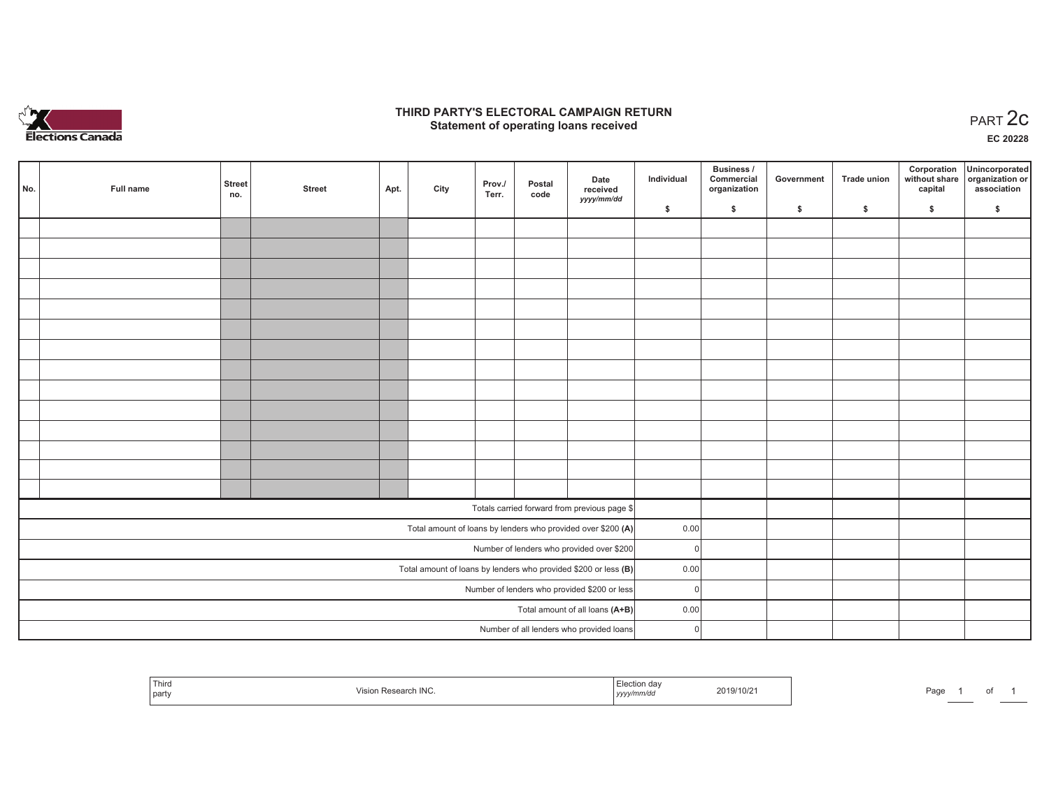

## **THIRD PARTY'S ELECTORAL CAMPAIGN RETURN STATE:** PRACT OF OPPRESS THE STATE STATE STATE STATE STATE STATE STATE STATE STATE STATE START 2C PART 2C STATE STATE STATE STATE STATE STATE STATE STATE STATE STATE STATE STATE STATE STATE STATE STATE STATE STATE STATE S

**EC 20228**

| No. | Full name | <b>Street</b><br>no.                         | <b>Street</b> | Apt.                                                            | City | Prov./<br>Terr. | Postal<br>code                            | Date<br>received                                             | Individual | Business /<br>Commercial<br>organization | Government | <b>Trade union</b> | Corporation<br>capital | Unincorporated<br>without share organization or<br>association |
|-----|-----------|----------------------------------------------|---------------|-----------------------------------------------------------------|------|-----------------|-------------------------------------------|--------------------------------------------------------------|------------|------------------------------------------|------------|--------------------|------------------------|----------------------------------------------------------------|
|     |           |                                              |               |                                                                 |      |                 |                                           | yyyy/mm/dd                                                   | \$         | \$                                       | \$         | \$                 | \$                     | \$                                                             |
|     |           |                                              |               |                                                                 |      |                 |                                           |                                                              |            |                                          |            |                    |                        |                                                                |
|     |           |                                              |               |                                                                 |      |                 |                                           |                                                              |            |                                          |            |                    |                        |                                                                |
|     |           |                                              |               |                                                                 |      |                 |                                           |                                                              |            |                                          |            |                    |                        |                                                                |
|     |           |                                              |               |                                                                 |      |                 |                                           |                                                              |            |                                          |            |                    |                        |                                                                |
|     |           |                                              |               |                                                                 |      |                 |                                           |                                                              |            |                                          |            |                    |                        |                                                                |
|     |           |                                              |               |                                                                 |      |                 |                                           |                                                              |            |                                          |            |                    |                        |                                                                |
|     |           |                                              |               |                                                                 |      |                 |                                           |                                                              |            |                                          |            |                    |                        |                                                                |
|     |           |                                              |               |                                                                 |      |                 |                                           |                                                              |            |                                          |            |                    |                        |                                                                |
|     |           |                                              |               |                                                                 |      |                 |                                           |                                                              |            |                                          |            |                    |                        |                                                                |
|     |           |                                              |               |                                                                 |      |                 |                                           |                                                              |            |                                          |            |                    |                        |                                                                |
|     |           |                                              |               |                                                                 |      |                 |                                           |                                                              |            |                                          |            |                    |                        |                                                                |
|     |           |                                              |               |                                                                 |      |                 |                                           |                                                              |            |                                          |            |                    |                        |                                                                |
|     |           |                                              |               |                                                                 |      |                 |                                           |                                                              |            |                                          |            |                    |                        |                                                                |
|     |           |                                              |               |                                                                 |      |                 |                                           |                                                              |            |                                          |            |                    |                        |                                                                |
|     |           |                                              |               |                                                                 |      |                 |                                           | Totals carried forward from previous page \$                 |            |                                          |            |                    |                        |                                                                |
|     |           |                                              |               |                                                                 |      |                 |                                           | Total amount of loans by lenders who provided over \$200 (A) | 0.00       |                                          |            |                    |                        |                                                                |
|     |           |                                              |               |                                                                 |      |                 | Number of lenders who provided over \$200 | $\Omega$                                                     |            |                                          |            |                    |                        |                                                                |
|     |           |                                              |               | Total amount of loans by lenders who provided \$200 or less (B) | 0.00 |                 |                                           |                                                              |            |                                          |            |                    |                        |                                                                |
|     |           | Number of lenders who provided \$200 or less | $\Omega$      |                                                                 |      |                 |                                           |                                                              |            |                                          |            |                    |                        |                                                                |
|     |           |                                              |               |                                                                 |      |                 |                                           | Total amount of all loans (A+B)                              | 0.00       |                                          |            |                    |                        |                                                                |
|     |           |                                              |               |                                                                 |      |                 |                                           | Number of all lenders who provided loans                     | $\Omega$   |                                          |            |                    |                        |                                                                |

|  | Thirc<br>  party | 18.14<br>191<br>ING. | uav<br>nmrac<br>,,,, | 2019/10/2 | au |  |  |  |
|--|------------------|----------------------|----------------------|-----------|----|--|--|--|
|--|------------------|----------------------|----------------------|-----------|----|--|--|--|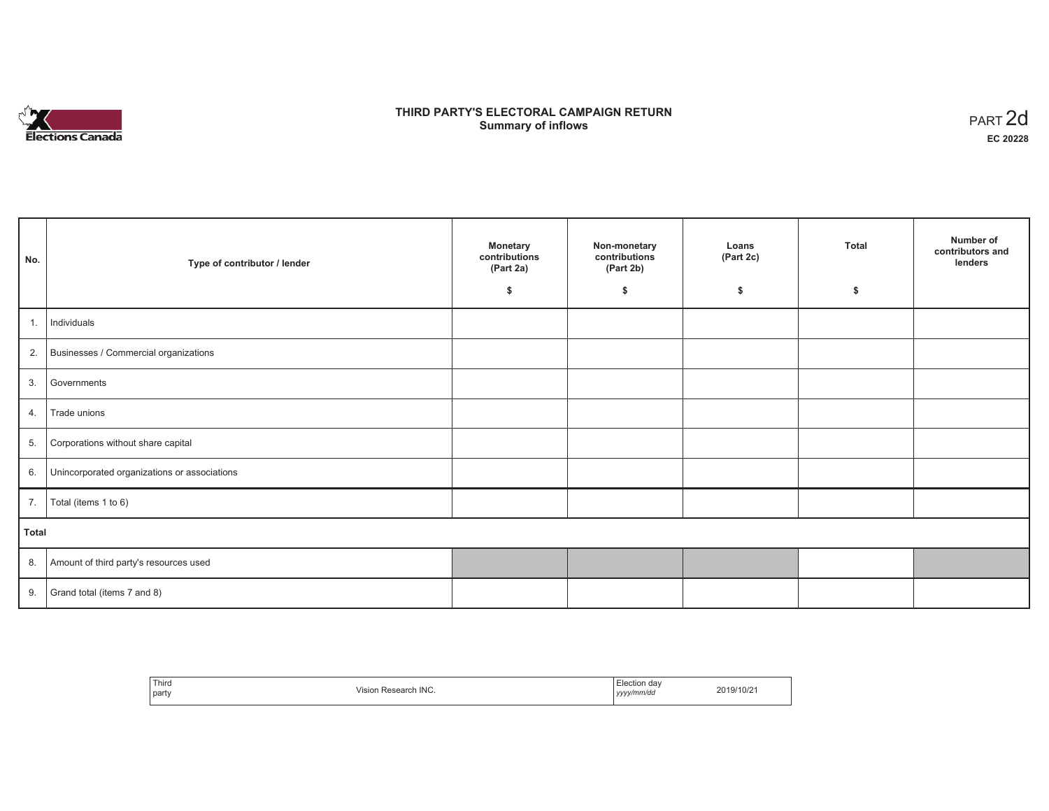

# **THIRD PARTY'S ELECTORAL CAMPAIGN RETURN S** ELECTORAL CAMPAIGN RETURN<br>Summary of inflows PART 2d

| No.   | Type of contributor / lender                    | <b>Monetary</b><br>contributions<br>(Part 2a) | Non-monetary<br>contributions<br>(Part 2b) | Loans<br>(Part 2c) | <b>Total</b> | Number of<br>contributors and<br>lenders |
|-------|-------------------------------------------------|-----------------------------------------------|--------------------------------------------|--------------------|--------------|------------------------------------------|
|       |                                                 | \$                                            | \$                                         | \$                 | \$           |                                          |
| 1.    | Individuals                                     |                                               |                                            |                    |              |                                          |
|       | 2. Businesses / Commercial organizations        |                                               |                                            |                    |              |                                          |
| 3.    | Governments                                     |                                               |                                            |                    |              |                                          |
| 4.    | Trade unions                                    |                                               |                                            |                    |              |                                          |
| 5.    | Corporations without share capital              |                                               |                                            |                    |              |                                          |
|       | 6. Unincorporated organizations or associations |                                               |                                            |                    |              |                                          |
| 7.    | Total (items 1 to 6)                            |                                               |                                            |                    |              |                                          |
| Total |                                                 |                                               |                                            |                    |              |                                          |
|       | 8. Amount of third party's resources used       |                                               |                                            |                    |              |                                          |
|       | 9. Grand total (items $7$ and $8$ )             |                                               |                                            |                    |              |                                          |

| Third<br>the contract of the contract of<br>  party | Research INC.<br>Vision | Election dav<br>.<br>yyyy/mm/dd | 2019/10/21 |
|-----------------------------------------------------|-------------------------|---------------------------------|------------|
|-----------------------------------------------------|-------------------------|---------------------------------|------------|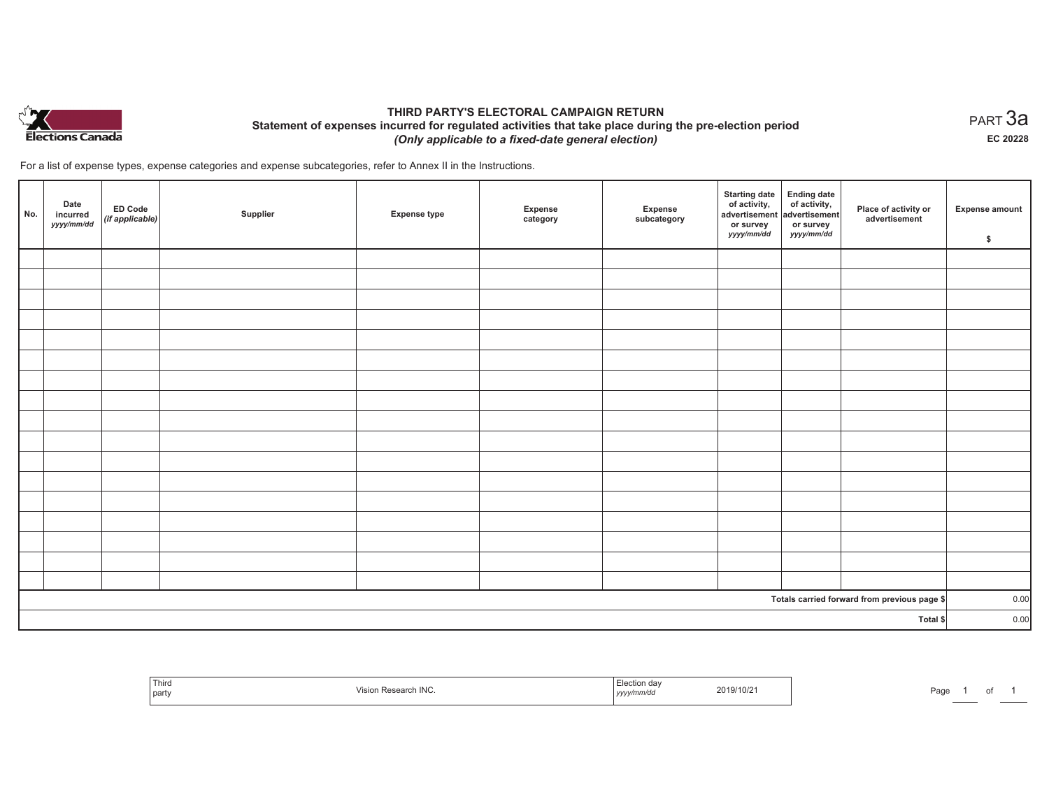

# **THIRD PARTY'S ELECTORAL CAMPAIGN RETURN Statement of expenses incurred for regulated activities that take place during the pre-election period**  *(Only applicable to a fixed-date general election)*

For a list of expense types, expense categories and expense subcategories, refer to Annex II in the Instructions.

| No.      | Date<br>incurred<br>yyyy/mm/dd | <b>ED Code</b><br>(if applicable) | Supplier | <b>Expense type</b> | Expense<br>category | Expense<br>subcategory | <b>Starting date</b><br>of activity,<br>advertisement<br>or survey<br>yyyy/mm/dd | Ending date<br>of activity,<br>advertisement<br>or survey<br>yyyy/mm/dd | Place of activity or<br>advertisement        | <b>Expense amount</b><br>\$ |
|----------|--------------------------------|-----------------------------------|----------|---------------------|---------------------|------------------------|----------------------------------------------------------------------------------|-------------------------------------------------------------------------|----------------------------------------------|-----------------------------|
|          |                                |                                   |          |                     |                     |                        |                                                                                  |                                                                         |                                              |                             |
|          |                                |                                   |          |                     |                     |                        |                                                                                  |                                                                         |                                              |                             |
|          |                                |                                   |          |                     |                     |                        |                                                                                  |                                                                         |                                              |                             |
|          |                                |                                   |          |                     |                     |                        |                                                                                  |                                                                         |                                              |                             |
|          |                                |                                   |          |                     |                     |                        |                                                                                  |                                                                         |                                              |                             |
|          |                                |                                   |          |                     |                     |                        |                                                                                  |                                                                         |                                              |                             |
|          |                                |                                   |          |                     |                     |                        |                                                                                  |                                                                         |                                              |                             |
|          |                                |                                   |          |                     |                     |                        |                                                                                  |                                                                         |                                              |                             |
|          |                                |                                   |          |                     |                     |                        |                                                                                  |                                                                         |                                              |                             |
|          |                                |                                   |          |                     |                     |                        |                                                                                  |                                                                         |                                              |                             |
|          |                                |                                   |          |                     |                     |                        |                                                                                  |                                                                         |                                              |                             |
|          |                                |                                   |          |                     |                     |                        |                                                                                  |                                                                         |                                              |                             |
|          |                                |                                   |          |                     |                     |                        |                                                                                  |                                                                         |                                              |                             |
|          |                                |                                   |          |                     |                     |                        |                                                                                  |                                                                         |                                              |                             |
|          |                                |                                   |          |                     |                     |                        |                                                                                  |                                                                         |                                              |                             |
|          |                                |                                   |          |                     |                     |                        |                                                                                  |                                                                         |                                              |                             |
|          |                                |                                   |          |                     |                     |                        |                                                                                  |                                                                         |                                              |                             |
|          |                                |                                   |          |                     |                     |                        |                                                                                  |                                                                         | Totals carried forward from previous page \$ | 0.00                        |
| Total \$ |                                |                                   |          |                     |                     | 0.00                   |                                                                                  |                                                                         |                                              |                             |

| <sup>'</sup> Third<br>  party | Visior<br>in Research INC. | the company's con-<br>Election day<br>2019/10/2<br>.<br>yyyy/mm/dd | Page |
|-------------------------------|----------------------------|--------------------------------------------------------------------|------|
|-------------------------------|----------------------------|--------------------------------------------------------------------|------|

 $_{\sf PART}$ 3a **EC 20228**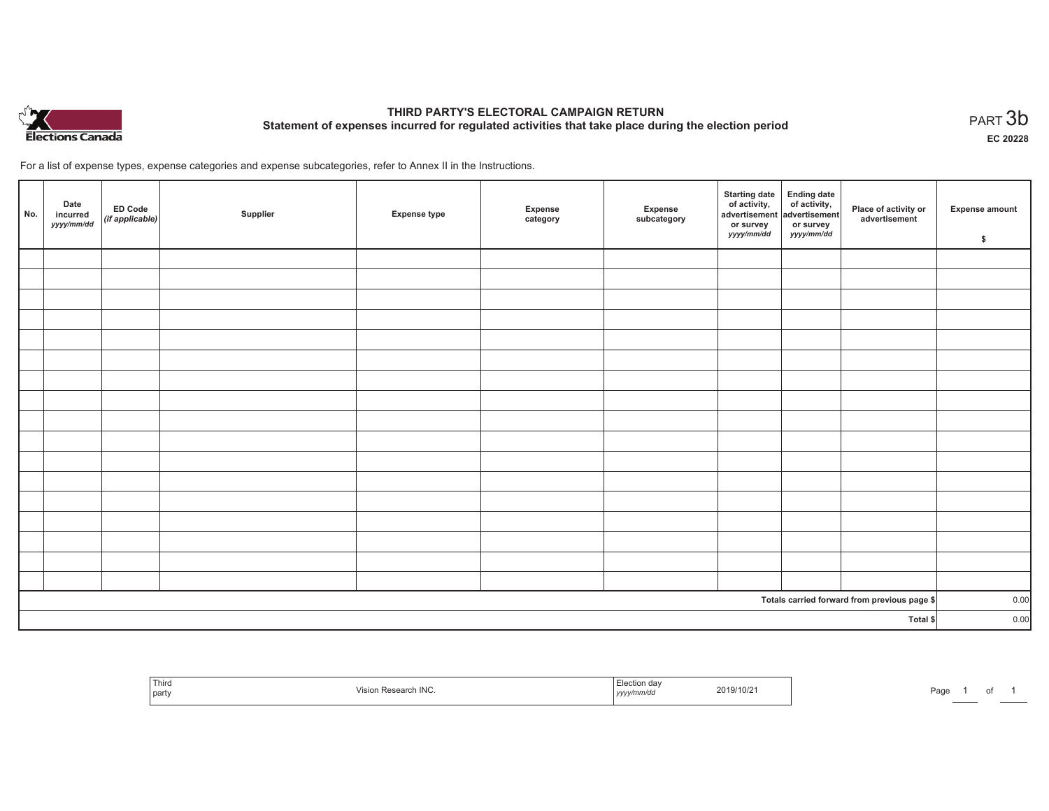

# **THIRD PARTY'S ELECTORAL CAMPAIGN RETURN Statement of expenses incurred for regulated activities that take place during the election period**<br>PART  $3\mathsf{b}$

**EC 20228**

For a list of expense types, expense categories and expense subcategories, refer to Annex II in the Instructions.

| No.      | Date<br>incurred<br>yyyy/mm/dd | ED Code<br>(if applicable) | Supplier | <b>Expense type</b> | Expense<br>category | Expense<br>subcategory | Starting date Ending date<br>of activity, of activity,<br>advertisement advertisement<br>or survey<br>yyyy/mm/dd | or survey<br>yyyy/mm/dd | Place of activity or<br>advertisement        | <b>Expense amount</b><br>\$ |
|----------|--------------------------------|----------------------------|----------|---------------------|---------------------|------------------------|------------------------------------------------------------------------------------------------------------------|-------------------------|----------------------------------------------|-----------------------------|
|          |                                |                            |          |                     |                     |                        |                                                                                                                  |                         |                                              |                             |
|          |                                |                            |          |                     |                     |                        |                                                                                                                  |                         |                                              |                             |
|          |                                |                            |          |                     |                     |                        |                                                                                                                  |                         |                                              |                             |
|          |                                |                            |          |                     |                     |                        |                                                                                                                  |                         |                                              |                             |
|          |                                |                            |          |                     |                     |                        |                                                                                                                  |                         |                                              |                             |
|          |                                |                            |          |                     |                     |                        |                                                                                                                  |                         |                                              |                             |
|          |                                |                            |          |                     |                     |                        |                                                                                                                  |                         |                                              |                             |
|          |                                |                            |          |                     |                     |                        |                                                                                                                  |                         |                                              |                             |
|          |                                |                            |          |                     |                     |                        |                                                                                                                  |                         |                                              |                             |
|          |                                |                            |          |                     |                     |                        |                                                                                                                  |                         |                                              |                             |
|          |                                |                            |          |                     |                     |                        |                                                                                                                  |                         |                                              |                             |
|          |                                |                            |          |                     |                     |                        |                                                                                                                  |                         |                                              |                             |
|          |                                |                            |          |                     |                     |                        |                                                                                                                  |                         |                                              |                             |
|          |                                |                            |          |                     |                     |                        |                                                                                                                  |                         |                                              |                             |
|          |                                |                            |          |                     |                     |                        |                                                                                                                  |                         |                                              |                             |
|          |                                |                            |          |                     |                     |                        |                                                                                                                  |                         |                                              |                             |
|          |                                |                            |          |                     |                     |                        |                                                                                                                  |                         |                                              |                             |
|          |                                |                            |          |                     |                     |                        |                                                                                                                  |                         | Totals carried forward from previous page \$ | 0.00                        |
| Total \$ |                                |                            |          |                     |                     | 0.00                   |                                                                                                                  |                         |                                              |                             |

| ' Third<br>part | IIVU.<br><b>AU</b> | .<br>,,,,, | TUIZ | ിറ്റ<br>'dü |  |  |  |
|-----------------|--------------------|------------|------|-------------|--|--|--|
|-----------------|--------------------|------------|------|-------------|--|--|--|